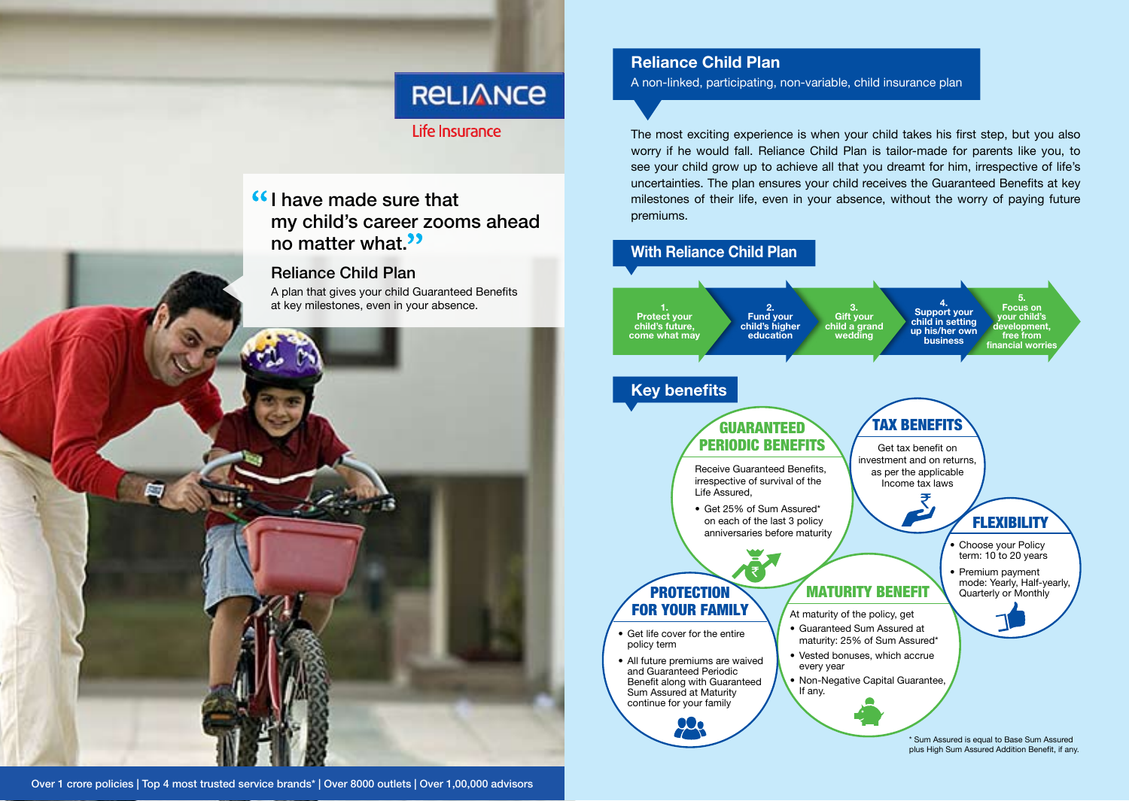# **RELIANCE**

# Life Insurance

# I have made sure that my child's career zooms ahead no matter what.<sup>33</sup>

## Reliance Child Plan

A plan that gives your child Guaranteed Benefits at key milestones, even in your absence.



Over 1 crore policies | Top 4 most trusted service brands\* | Over 8000 outlets | Over 1,00,000 advisors

# **Reliance Child Plan**

A non-linked, participating, non-variable, child insurance plan

The most exciting experience is when your child takes his first step, but you also worry if he would fall. Reliance Child Plan is tailor-made for parents like you, to see your child grow up to achieve all that you dreamt for him, irrespective of life's uncertainties. The plan ensures your child receives the Guaranteed Benefits at key milestones of their life, even in your absence, without the worry of paying future premiums.

# **With Reliance Child Plan**

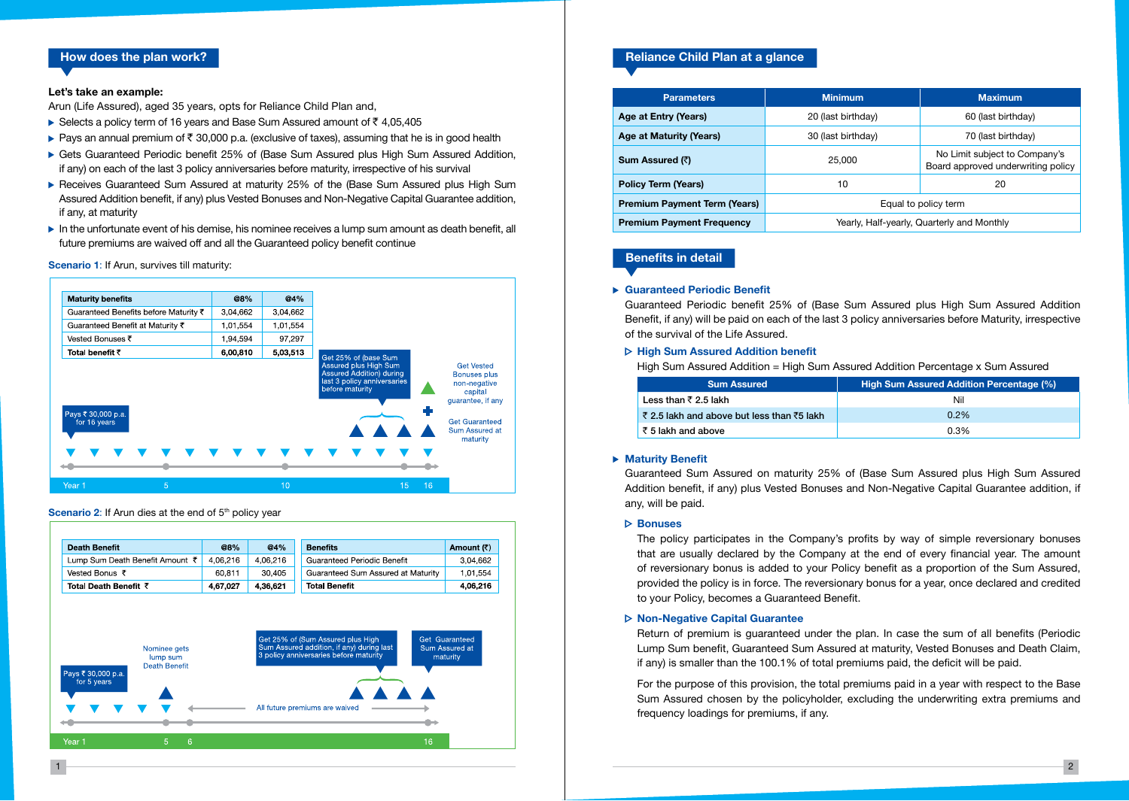### **How does the plan work?**

#### **Let's take an example:**

Arun (Life Assured), aged 35 years, opts for Reliance Child Plan and,

- Selects a policy term of 16 years and Base Sum Assured amount of  $\bar{\tau}$  4,05,405
- Pays an annual premium of  $\bar{z}$  30,000 p.a. (exclusive of taxes), assuming that he is in good health
- ▶ Gets Guaranteed Periodic benefit 25% of (Base Sum Assured plus High Sum Assured Addition, if any) on each of the last 3 policy anniversaries before maturity, irrespective of his survival
- ▶ Receives Guaranteed Sum Assured at maturity 25% of the (Base Sum Assured plus High Sum Assured Addition benefit, if any) plus Vested Bonuses and Non-Negative Capital Guarantee addition, if any, at maturity
- In the unfortunate event of his demise, his nominee receives a lump sum amount as death benefit, all future premiums are waived off and all the Guaranteed policy benefit continue

#### **Scenario 1**: If Arun, survives till maturity:



#### **Scenario 2:** If Arun dies at the end of 5<sup>th</sup> policy year

| <b>Death Benefit</b>            | @8%      | @4%      | Amount (₹)<br><b>Benefits</b>                  |
|---------------------------------|----------|----------|------------------------------------------------|
| Lump Sum Death Benefit Amount ₹ | 4.06.216 | 4.06.216 | Guaranteed Periodic Benefit<br>3,04,662        |
| Vested Bonus ₹                  | 60.811   | 30,405   | Guaranteed Sum Assured at Maturity<br>1,01,554 |
| Total Death Benefit ₹           | 4,67,027 | 4,36,621 | <b>Total Benefit</b><br>4,06,216               |



### **Reliance Child Plan at a glance**

| <b>Parameters</b>                   | <b>Minimum</b>                             | <b>Maximum</b>                                                      |  |
|-------------------------------------|--------------------------------------------|---------------------------------------------------------------------|--|
| Age at Entry (Years)                | 20 (last birthday)                         | 60 (last birthday)                                                  |  |
| Age at Maturity (Years)             | 30 (last birthday)                         | 70 (last birthday)                                                  |  |
| Sum Assured (₹)                     | 25,000                                     | No Limit subject to Company's<br>Board approved underwriting policy |  |
| <b>Policy Term (Years)</b>          | 10                                         | 20                                                                  |  |
| <b>Premium Payment Term (Years)</b> | Equal to policy term                       |                                                                     |  |
| <b>Premium Payment Frequency</b>    | Yearly, Half-yearly, Quarterly and Monthly |                                                                     |  |

### **Benefits in detail**

#### **Guaranteed Periodic Benefit**

Guaranteed Periodic benefit 25% of (Base Sum Assured plus High Sum Assured Addition Benefit, if any) will be paid on each of the last 3 policy anniversaries before Maturity, irrespective of the survival of the Life Assured.

#### **High Sum Assured Addition benefit**

High Sum Assured Addition = High Sum Assured Addition Percentage x Sum Assured

| <b>Sum Assured</b>                         | High Sum Assured Addition Percentage (%) |
|--------------------------------------------|------------------------------------------|
| Less than $\bar{z}$ 2.5 lakh               | Nil                                      |
| ₹ 2.5 lakh and above but less than ₹5 lakh | 0.2%                                     |
| ₹ 5 lakh and above                         | 0.3%                                     |

#### **Maturity Benefit**

Guaranteed Sum Assured on maturity 25% of (Base Sum Assured plus High Sum Assured Addition benefit, if any) plus Vested Bonuses and Non-Negative Capital Guarantee addition, if any, will be paid.

#### **Bonuses**

 The policy participates in the Company's profits by way of simple reversionary bonuses that are usually declared by the Company at the end of every financial year. The amount of reversionary bonus is added to your Policy benefit as a proportion of the Sum Assured, provided the policy is in force. The reversionary bonus for a year, once declared and credited to your Policy, becomes a Guaranteed Benefit.

#### **Non-Negative Capital Guarantee**

 Return of premium is guaranteed under the plan. In case the sum of all benefits (Periodic Lump Sum benefit, Guaranteed Sum Assured at maturity, Vested Bonuses and Death Claim, if any) is smaller than the 100.1% of total premiums paid, the deficit will be paid.

 For the purpose of this provision, the total premiums paid in a year with respect to the Base Sum Assured chosen by the policyholder, excluding the underwriting extra premiums and frequency loadings for premiums, if any.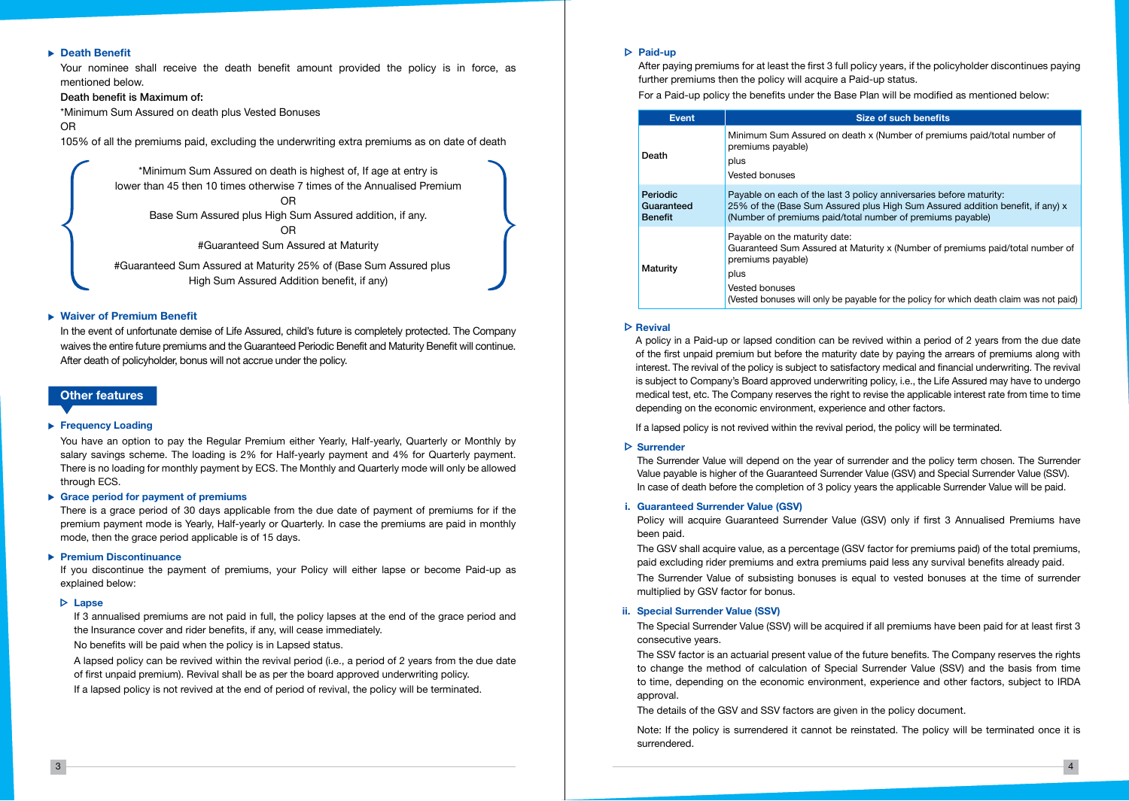#### **Death Benefit**

Your nominee shall receive the death benefit amount provided the policy is in force, as mentioned below.

#### Death benefit is Maximum of:

\*Minimum Sum Assured on death plus Vested Bonuses

OR

105% of all the premiums paid, excluding the underwriting extra premiums as on date of death

\*Minimum Sum Assured on death is highest of, If age at entry is lower than 45 then 10 times otherwise 7 times of the Annualised Premium

OR Base Sum Assured plus High Sum Assured addition, if any. OR

#Guaranteed Sum Assured at Maturity

#Guaranteed Sum Assured at Maturity 25% of (Base Sum Assured plus High Sum Assured Addition benefit, if any)

#### **Waiver of Premium Benefit**

In the event of unfortunate demise of Life Assured, child's future is completely protected. The Company waives the entire future premiums and the Guaranteed Periodic Benefit and Maturity Benefit will continue. After death of policyholder, bonus will not accrue under the policy.

#### **Other features**

#### **Frequency Loading**

You have an option to pay the Regular Premium either Yearly, Half-yearly, Quarterly or Monthly by salary savings scheme. The loading is 2% for Half-yearly payment and 4% for Quarterly payment. There is no loading for monthly payment by ECS. The Monthly and Quarterly mode will only be allowed through ECS.

#### **Grace period for payment of premiums**

There is a grace period of 30 days applicable from the due date of payment of premiums for if the premium payment mode is Yearly, Half-yearly or Quarterly. In case the premiums are paid in monthly mode, then the grace period applicable is of 15 days.

#### **Premium Discontinuance**

If you discontinue the payment of premiums, your Policy will either lapse or become Paid-up as explained below:

#### **Lapse**

If 3 annualised premiums are not paid in full, the policy lapses at the end of the grace period and the Insurance cover and rider benefits, if any, will cease immediately.

No benefits will be paid when the policy is in Lapsed status.

A lapsed policy can be revived within the revival period (i.e., a period of 2 years from the due date of first unpaid premium). Revival shall be as per the board approved underwriting policy.

If a lapsed policy is not revived at the end of period of revival, the policy will be terminated.

#### **Paid-up**

After paying premiums for at least the first 3 full policy years, if the policyholder discontinues paying further premiums then the policy will acquire a Paid-up status.

For a Paid-up policy the benefits under the Base Plan will be modified as mentioned below:

| <b>Event</b>                             | <b>Size of such benefits</b>                                                                                                                                                                                                                                    |
|------------------------------------------|-----------------------------------------------------------------------------------------------------------------------------------------------------------------------------------------------------------------------------------------------------------------|
| Death                                    | Minimum Sum Assured on death x (Number of premiums paid/total number of<br>premiums payable)<br>plus<br>Vested bonuses                                                                                                                                          |
| Periodic<br>Guaranteed<br><b>Benefit</b> | Payable on each of the last 3 policy anniversaries before maturity:<br>25% of the (Base Sum Assured plus High Sum Assured addition benefit, if any) x<br>(Number of premiums paid/total number of premiums payable)                                             |
| Maturity                                 | Payable on the maturity date:<br>Guaranteed Sum Assured at Maturity x (Number of premiums paid/total number of<br>premiums payable)<br>plus<br><b>Vested bonuses</b><br>(Vested bonuses will only be payable for the policy for which death claim was not paid) |

#### **Revival**

A policy in a Paid-up or lapsed condition can be revived within a period of 2 years from the due date of the first unpaid premium but before the maturity date by paying the arrears of premiums along with interest. The revival of the policy is subject to satisfactory medical and financial underwriting. The revival is subject to Company's Board approved underwriting policy, i.e., the Life Assured may have to undergo medical test, etc. The Company reserves the right to revise the applicable interest rate from time to time depending on the economic environment, experience and other factors.

If a lapsed policy is not revived within the revival period, the policy will be terminated.

#### **Surrender**

 The Surrender Value will depend on the year of surrender and the policy term chosen. The Surrender Value payable is higher of the Guaranteed Surrender Value (GSV) and Special Surrender Value (SSV). In case of death before the completion of 3 policy years the applicable Surrender Value will be paid.

#### **i. Guaranteed Surrender Value (GSV)**

Policy will acquire Guaranteed Surrender Value (GSV) only if first 3 Annualised Premiums have been paid.

 The GSV shall acquire value, as a percentage (GSV factor for premiums paid) of the total premiums, paid excluding rider premiums and extra premiums paid less any survival benefits already paid. The Surrender Value of subsisting bonuses is equal to vested bonuses at the time of surrender multiplied by GSV factor for bonus.

#### **ii. Special Surrender Value (SSV)**

The Special Surrender Value (SSV) will be acquired if all premiums have been paid for at least first 3 consecutive years.

 The SSV factor is an actuarial present value of the future benefits. The Company reserves the rights to change the method of calculation of Special Surrender Value (SSV) and the basis from time to time, depending on the economic environment, experience and other factors, subject to IRDA approval.

The details of the GSV and SSV factors are given in the policy document.

 Note: If the policy is surrendered it cannot be reinstated. The policy will be terminated once it is surrendered.